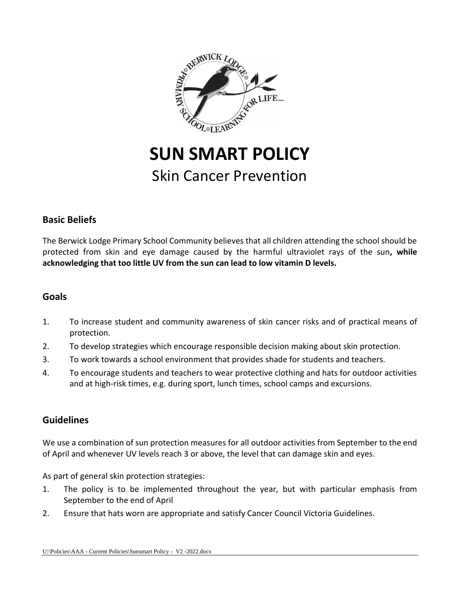

# **SUN SMART POLICY** Skin Cancer Prevention

## **Basic Beliefs**

The Berwick Lodge Primary School Community believes that all children attending the school should be protected from skin and eye damage caused by the harmful ultraviolet rays of the sun**, while acknowledging that too little UV from the sun can lead to low vitamin D levels.**

## **Goals**

- 1. To increase student and community awareness of skin cancer risks and of practical means of protection.
- 2. To develop strategies which encourage responsible decision making about skin protection.
- 3. To work towards a school environment that provides shade for students and teachers.
- 4. To encourage students and teachers to wear protective clothing and hats for outdoor activities and at high-risk times, e.g. during sport, lunch times, school camps and excursions.

## **Guidelines**

We use a combination of sun protection measures for all outdoor activities from September to the end of April and whenever UV levels reach 3 or above, the level that can damage skin and eyes.

As part of general skin protection strategies:

- 1. The policy is to be implemented throughout the year, but with particular emphasis from September to the end of April
- 2. Ensure that hats worn are appropriate and satisfy Cancer Council Victoria Guidelines.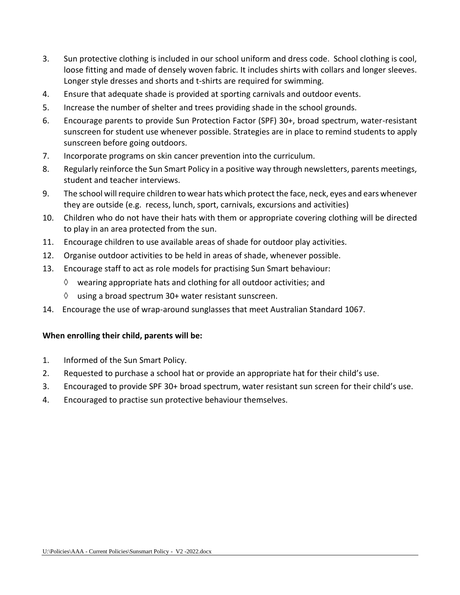- 3. Sun protective clothing is included in our school uniform and dress code. School clothing is cool, loose fitting and made of densely woven fabric. It includes shirts with collars and longer sleeves. Longer style dresses and shorts and t-shirts are required for swimming.
- 4. Ensure that adequate shade is provided at sporting carnivals and outdoor events.
- 5. Increase the number of shelter and trees providing shade in the school grounds.
- 6. Encourage parents to provide Sun Protection Factor (SPF) 30+, broad spectrum, water-resistant sunscreen for student use whenever possible. Strategies are in place to remind students to apply sunscreen before going outdoors.
- 7. Incorporate programs on skin cancer prevention into the curriculum.
- 8. Regularly reinforce the Sun Smart Policy in a positive way through newsletters, parents meetings, student and teacher interviews.
- 9. The school will require children to wear hats which protect the face, neck, eyes and ears whenever they are outside (e.g. recess, lunch, sport, carnivals, excursions and activities)
- 10. Children who do not have their hats with them or appropriate covering clothing will be directed to play in an area protected from the sun.
- 11. Encourage children to use available areas of shade for outdoor play activities.
- 12. Organise outdoor activities to be held in areas of shade, whenever possible.
- 13. Encourage staff to act as role models for practising Sun Smart behaviour:
	- $\Diamond$  wearing appropriate hats and clothing for all outdoor activities; and
	- $\Diamond$  using a broad spectrum 30+ water resistant sunscreen.
- 14. Encourage the use of wrap-around sunglasses that meet Australian Standard 1067.

#### **When enrolling their child, parents will be:**

- 1. Informed of the Sun Smart Policy.
- 2. Requested to purchase a school hat or provide an appropriate hat for their child's use.
- 3. Encouraged to provide SPF 30+ broad spectrum, water resistant sun screen for their child's use.
- 4. Encouraged to practise sun protective behaviour themselves.